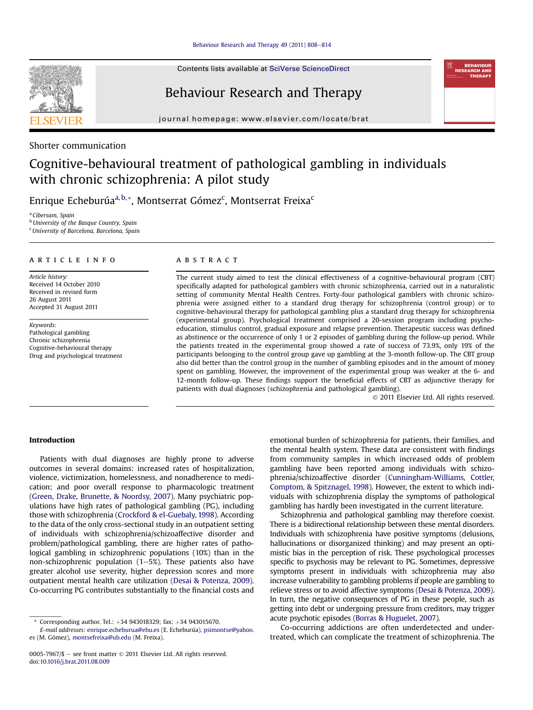#### [Behaviour Research and Therapy 49 \(2011\) 808](http://dx.doi.org/10.1016/j.brat.2011.08.009)-[814](http://dx.doi.org/10.1016/j.brat.2011.08.009)

Contents lists available at SciVerse ScienceDirect

# Behaviour Research and Therapy

journal homepage: [www.elsevier.com/locate/brat](http://www.elsevier.com/locate/brat)



## Shorter communication

# Cognitive-behavioural treatment of pathological gambling in individuals with chronic schizophrenia: A pilot study

Enrique Echeburúa<sup>a,b,</sup>\*, Montserrat Gómez<sup>c</sup>, Montserrat Freixa<sup>c</sup>

<sup>a</sup> Cibersam, Spain <sup>b</sup> University of the Basque Country, Spain <sup>c</sup>University of Barcelona, Barcelona, Spain

#### article info

Article history: Received 14 October 2010 Received in revised form 26 August 2011 Accepted 31 August 2011

Keywords: Pathological gambling Chronic schizophrenia Cognitive-behavioural therapy Drug and psychological treatment

#### **ABSTRACT**

The current study aimed to test the clinical effectiveness of a cognitive-behavioural program (CBT) specifically adapted for pathological gamblers with chronic schizophrenia, carried out in a naturalistic setting of community Mental Health Centres. Forty-four pathological gamblers with chronic schizophrenia were assigned either to a standard drug therapy for schizophrenia (control group) or to cognitive-behavioural therapy for pathological gambling plus a standard drug therapy for schizophrenia (experimental group). Psychological treatment comprised a 20-session program including psychoeducation, stimulus control, gradual exposure and relapse prevention. Therapeutic success was defined as abstinence or the occurrence of only 1 or 2 episodes of gambling during the follow-up period. While the patients treated in the experimental group showed a rate of success of 73.9%, only 19% of the participants belonging to the control group gave up gambling at the 3-month follow-up. The CBT group also did better than the control group in the number of gambling episodes and in the amount of money spent on gambling. However, the improvement of the experimental group was weaker at the 6- and 12-month follow-up. These findings support the beneficial effects of CBT as adjunctive therapy for patients with dual diagnoses (schizophrenia and pathological gambling).

2011 Elsevier Ltd. All rights reserved.

### Introduction

Patients with dual diagnoses are highly prone to adverse outcomes in several domains: increased rates of hospitalization, violence, victimization, homelessness, and nonadherence to medication; and poor overall response to pharmacologic treatment ([Green, Drake, Brunette, & Noordsy, 2007\)](#page-6-0). Many psychiatric populations have high rates of pathological gambling (PG), including those with schizophrenia ([Crockford & el-Guebaly, 1998\)](#page-6-0). According to the data of the only cross-sectional study in an outpatient setting of individuals with schizophrenia/schizoaffective disorder and problem/pathological gambling, there are higher rates of pathological gambling in schizophrenic populations (10%) than in the non-schizophrenic population  $(1-5%)$ . These patients also have greater alcohol use severity, higher depression scores and more outpatient mental health care utilization ([Desai & Potenza, 2009\)](#page-6-0). Co-occurring PG contributes substantially to the financial costs and emotional burden of schizophrenia for patients, their families, and the mental health system. These data are consistent with findings from community samples in which increased odds of problem gambling have been reported among individuals with schizophrenia/schizoaffective disorder ([Cunningham-Williams, Cottler,](#page-6-0) [Comptom, & Spitznagel, 1998](#page-6-0)). However, the extent to which individuals with schizophrenia display the symptoms of pathological gambling has hardly been investigated in the current literature.

Schizophrenia and pathological gambling may therefore coexist. There is a bidirectional relationship between these mental disorders. Individuals with schizophrenia have positive symptoms (delusions, hallucinations or disorganized thinking) and may present an optimistic bias in the perception of risk. These psychological processes specific to psychosis may be relevant to PG. Sometimes, depressive symptoms present in individuals with schizophrenia may also increase vulnerability to gambling problems if people are gambling to relieve stress or to avoid affective symptoms ([Desai & Potenza, 2009](#page-6-0)). In turn, the negative consequences of PG in these people, such as getting into debt or undergoing pressure from creditors, may trigger acute psychotic episodes [\(Borras & Huguelet, 2007](#page-6-0)).

Co-occurring addictions are often underdetected and undertreated, which can complicate the treatment of schizophrenia. The

 $*$  Corresponding author. Tel.:  $+34$  943018329; fax:  $+34$  943015670.

E-mail addresses: [enrique.echeburua@ehu.es](mailto:enrique.echeburua@ehu.es) (E. Echeburúa), [psimontse@yahoo.](mailto:psimontse@yahoo.es) [es](mailto:psimontse@yahoo.es) (M. Gómez), [montsefreixa@ub.edu](mailto:montsefreixa@ub.edu) (M. Freixa).

<sup>0005-7967/\$ -</sup> see front matter  $\odot$  2011 Elsevier Ltd. All rights reserved. doi:[10.1016/j.brat.2011.08.009](http://dx.doi.org/10.1016/j.brat.2011.08.009)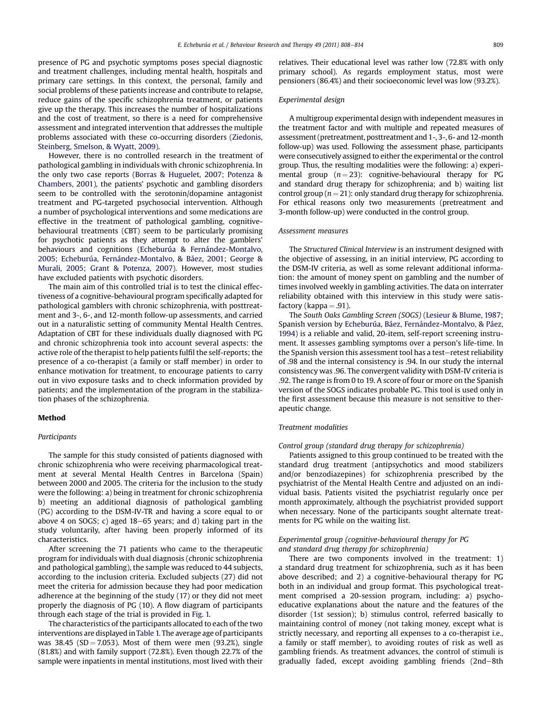presence of PG and psychotic symptoms poses special diagnostic and treatment challenges, including mental health, hospitals and primary care settings. In this context, the personal, family and social problems of these patients increase and contribute to relapse, reduce gains of the specific schizophrenia treatment, or patients give up the therapy. This increases the number of hospitalizations and the cost of treatment, so there is a need for comprehensive assessment and integrated intervention that addresses the multiple problems associated with these co-occurring disorders ([Ziedonis,](#page-6-0) [Steinberg, Smelson, & Wyatt, 2009\)](#page-6-0).

However, there is no controlled research in the treatment of pathological gambling in individuals with chronic schizophrenia. In the only two case reports [\(Borras & Huguelet, 2007; Potenza &](#page-6-0) [Chambers, 2001](#page-6-0)), the patients' psychotic and gambling disorders seem to be controlled with the serotonin/dopamine antagonist treatment and PG-targeted psychosocial intervention. Although a number of psychological interventions and some medications are effective in the treatment of pathological gambling, cognitivebehavioural treatments (CBT) seem to be particularly promising for psychotic patients as they attempt to alter the gamblers' behaviours and cognitions ([Echeburúa & Fernández-Montalvo,](#page-6-0) [2005; Echeburúa, Fernández-Montalvo, & Báez, 2001; George &](#page-6-0) [Murali, 2005; Grant & Potenza, 2007](#page-6-0)). However, most studies have excluded patients with psychotic disorders.

The main aim of this controlled trial is to test the clinical effectiveness of a cognitive-behavioural program specifically adapted for pathological gamblers with chronic schizophrenia, with posttreatment and 3-, 6-, and 12-month follow-up assessments, and carried out in a naturalistic setting of community Mental Health Centres. Adaptation of CBT for these individuals dually diagnosed with PG and chronic schizophrenia took into account several aspects: the active role of the therapist to help patients fulfil the self-reports; the presence of a co-therapist (a family or staff member) in order to enhance motivation for treatment, to encourage patients to carry out in vivo exposure tasks and to check information provided by patients; and the implementation of the program in the stabilization phases of the schizophrenia.

#### Method

#### Participants

The sample for this study consisted of patients diagnosed with chronic schizophrenia who were receiving pharmacological treatment at several Mental Health Centres in Barcelona (Spain) between 2000 and 2005. The criteria for the inclusion to the study were the following: a) being in treatment for chronic schizophrenia b) meeting an additional diagnosis of pathological gambling (PG) according to the DSM-IV-TR and having a score equal to or above 4 on SOGS; c) aged  $18-65$  years; and d) taking part in the study voluntarily, after having been properly informed of its characteristics.

After screening the 71 patients who came to the therapeutic program for individuals with dual diagnosis (chronic schizophrenia and pathological gambling), the sample was reduced to 44 subjects, according to the inclusion criteria. Excluded subjects (27) did not meet the criteria for admission because they had poor medication adherence at the beginning of the study (17) or they did not meet properly the diagnosis of PG (10). A flow diagram of participants through each stage of the trial is provided in [Fig. 1.](#page-2-0)

The characteristics of the participants allocated to each of the two interventions are displayed in[Table 1.](#page-3-0) The average age of participants was 38.45 (SD = 7.053). Most of them were men (93.2%), single (81.8%) and with family support (72.8%). Even though 22.7% of the sample were inpatients in mental institutions, most lived with their relatives. Their educational level was rather low (72.8% with only primary school). As regards employment status, most were pensioners (86.4%) and their socioeconomic level was low (93.2%).

#### Experimental design

A multigroup experimental design with independent measures in the treatment factor and with multiple and repeated measures of assessment (pretreatment, posttreatment and 1-, 3-, 6- and 12-month follow-up) was used. Following the assessment phase, participants were consecutively assigned to either the experimental or the control group. Thus, the resulting modalities were the following: a) experimental group  $(n = 23)$ : cognitive-behavioural therapy for PG and standard drug therapy for schizophrenia; and b) waiting list control group ( $n = 21$ ): only standard drug therapy for schizophrenia. For ethical reasons only two measurements (pretreatment and 3-month follow-up) were conducted in the control group.

#### Assessment measures

The Structured Clinical Interview is an instrument designed with the objective of assessing, in an initial interview, PG according to the DSM-IV criteria, as well as some relevant additional information: the amount of money spent on gambling and the number of times involved weekly in gambling activities. The data on interrater reliability obtained with this interview in this study were satisfactory (kappa  $= .91$ ).

The South Oaks Gambling Screen (SOGS) [\(Lesieur & Blume, 1987;](#page-6-0) Spanish version by [Echeburúa, Báez, Fernández-Montalvo, & Páez,](#page-6-0) [1994\)](#page-6-0) is a reliable and valid, 20-item, self-report screening instrument. It assesses gambling symptoms over a person's life-time. In the Spanish version this assessment tool has a test-retest reliability of .98 and the internal consistency is .94. In our study the internal consistency was .96. The convergent validity with DSM-IV criteria is .92. The range is from 0 to 19. A score of four or more on the Spanish version of the SOGS indicates probable PG. This tool is used only in the first assessment because this measure is not sensitive to therapeutic change.

## Treatment modalities

#### Control group (standard drug therapy for schizophrenia)

Patients assigned to this group continued to be treated with the standard drug treatment (antipsychotics and mood stabilizers and/or benzodiazepines) for schizophrenia prescribed by the psychiatrist of the Mental Health Centre and adjusted on an individual basis. Patients visited the psychiatrist regularly once per month approximately, although the psychiatrist provided support when necessary. None of the participants sought alternate treatments for PG while on the waiting list.

### Experimental group (cognitive-behavioural therapy for PG and standard drug therapy for schizophrenia)

There are two components involved in the treatment: 1) a standard drug treatment for schizophrenia, such as it has been above described; and 2) a cognitive-behavioural therapy for PG both in an individual and group format. This psychological treatment comprised a 20-session program, including: a) psychoeducative explanations about the nature and the features of the disorder (1st session); b) stimulus control, referred basically to maintaining control of money (not taking money, except what is strictly necessary, and reporting all expenses to a co-therapist i.e., a family or staff member), to avoiding routes of risk as well as gambling friends. As treatment advances, the control of stimuli is gradually faded, except avoiding gambling friends (2nd-8th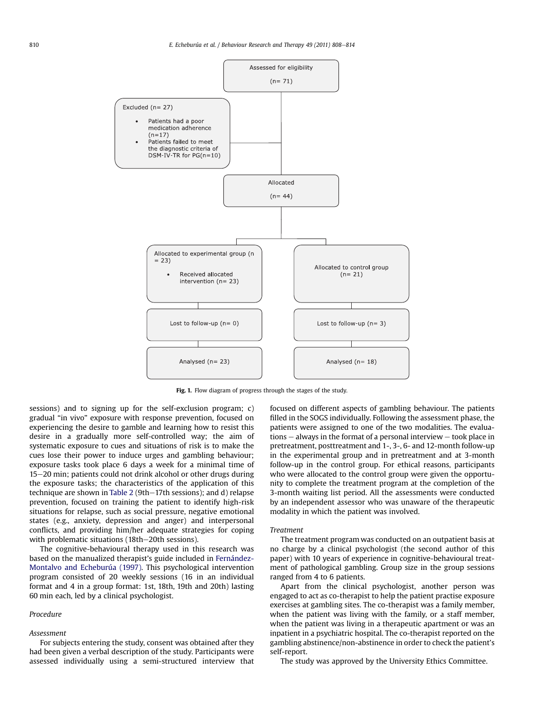<span id="page-2-0"></span>

Fig. 1. Flow diagram of progress through the stages of the study.

sessions) and to signing up for the self-exclusion program; c) gradual "in vivo" exposure with response prevention, focused on experiencing the desire to gamble and learning how to resist this desire in a gradually more self-controlled way; the aim of systematic exposure to cues and situations of risk is to make the cues lose their power to induce urges and gambling behaviour; exposure tasks took place 6 days a week for a minimal time of 15-20 min; patients could not drink alcohol or other drugs during the exposure tasks; the characteristics of the application of this technique are shown in [Table 2](#page-3-0) (9th-17th sessions); and d) relapse prevention, focused on training the patient to identify high-risk situations for relapse, such as social pressure, negative emotional states (e.g., anxiety, depression and anger) and interpersonal conflicts, and providing him/her adequate strategies for coping with problematic situations (18th-20th sessions).

The cognitive-behavioural therapy used in this research was based on the manualized therapist's guide included in [Fernández-](#page-6-0)[Montalvo and Echeburúa \(1997\)](#page-6-0). This psychological intervention program consisted of 20 weekly sessions (16 in an individual format and 4 in a group format: 1st, 18th, 19th and 20th) lasting 60 min each, led by a clinical psychologist.

### Procedure

### Assessment

For subjects entering the study, consent was obtained after they had been given a verbal description of the study. Participants were assessed individually using a semi-structured interview that focused on different aspects of gambling behaviour. The patients filled in the SOGS individually. Following the assessment phase, the patients were assigned to one of the two modalities. The evalua $tions - always$  in the format of a personal interview  $-$  took place in pretreatment, posttreatment and 1-, 3-, 6- and 12-month follow-up in the experimental group and in pretreatment and at 3-month follow-up in the control group. For ethical reasons, participants who were allocated to the control group were given the opportunity to complete the treatment program at the completion of the 3-month waiting list period. All the assessments were conducted by an independent assessor who was unaware of the therapeutic modality in which the patient was involved.

#### Treatment

The treatment program was conducted on an outpatient basis at no charge by a clinical psychologist (the second author of this paper) with 10 years of experience in cognitive-behavioural treatment of pathological gambling. Group size in the group sessions ranged from 4 to 6 patients.

Apart from the clinical psychologist, another person was engaged to act as co-therapist to help the patient practise exposure exercises at gambling sites. The co-therapist was a family member, when the patient was living with the family, or a staff member, when the patient was living in a therapeutic apartment or was an inpatient in a psychiatric hospital. The co-therapist reported on the gambling abstinence/non-abstinence in order to check the patient's self-report.

The study was approved by the University Ethics Committee.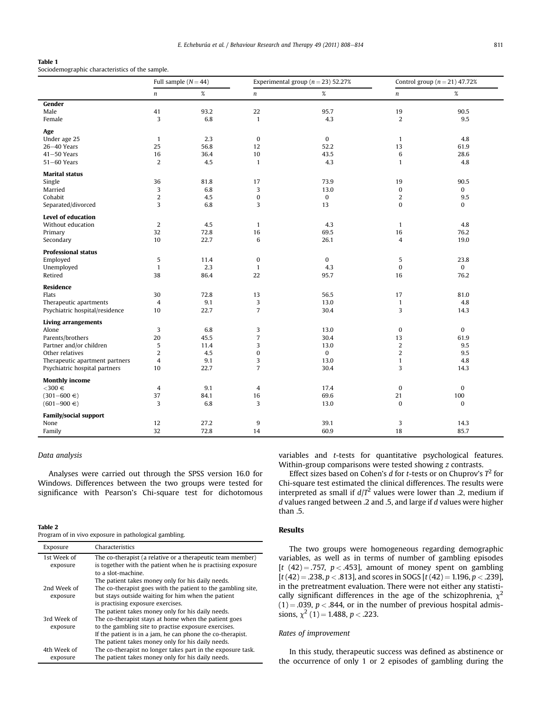## <span id="page-3-0"></span>Table 1

Sociodemographic characteristics of the sample.

|                                |                         | Full sample $(N = 44)$ |                  | Experimental group ( $n = 23$ ) 52.27% |                  | Control group $(n = 21)$ 47.72% |
|--------------------------------|-------------------------|------------------------|------------------|----------------------------------------|------------------|---------------------------------|
|                                | $\boldsymbol{n}$        | $\%$                   | $\boldsymbol{n}$ | $\%$                                   | n                | $\%$                            |
| Gender                         |                         |                        |                  |                                        |                  |                                 |
| Male                           | 41                      | 93.2                   | 22               | 95.7                                   | 19               | 90.5                            |
| Female                         | 3                       | 6.8                    | $\mathbf{1}$     | 4.3                                    | 2                | 9.5                             |
| Age                            |                         |                        |                  |                                        |                  |                                 |
| Under age 25                   | $\mathbf{1}$            | 2.3                    | $\bf{0}$         | $\bf{0}$                               | $\mathbf{1}$     | 4.8                             |
| $26 - 40$ Years                | 25                      | 56.8                   | 12               | 52.2                                   | 13               | 61.9                            |
| $41 - 50$ Years                | 16                      | 36.4                   | 10               | 43.5                                   | 6                | 28.6                            |
| $51 - 60$ Years                | $\overline{2}$          | 4.5                    | $\mathbf{1}$     | 4.3                                    | $\mathbf{1}$     | 4.8                             |
| <b>Marital status</b>          |                         |                        |                  |                                        |                  |                                 |
| Single                         | 36                      | 81.8                   | 17               | 73.9                                   | 19               | 90.5                            |
| Married                        | 3                       | 6.8                    | 3                | 13.0                                   | $\pmb{0}$        | 0                               |
| Cohabit                        | $\overline{2}$          | 4.5                    | $\pmb{0}$        | $\bf{0}$                               | 2                | 9.5                             |
| Separated/divorced             | 3                       | 6.8                    | 3                | 13                                     | $\mathbf{0}$     | $\bf{0}$                        |
| Level of education             |                         |                        |                  |                                        |                  |                                 |
| Without education              | $\overline{2}$          | 4.5                    | $\mathbf{1}$     | 4.3                                    | $\mathbf{1}$     | 4.8                             |
| Primary                        | 32                      | 72.8                   | 16               | 69.5                                   | 16               | 76.2                            |
| Secondary                      | 10                      | 22.7                   | 6                | 26.1                                   | $\overline{4}$   | 19.0                            |
| <b>Professional status</b>     |                         |                        |                  |                                        |                  |                                 |
| Employed                       | 5                       | 11.4                   | $\pmb{0}$        | $\bf{0}$                               | 5                | 23.8                            |
| Unemployed                     | $\mathbf{1}$            | 2.3                    | $\mathbf{1}$     | 4.3                                    | $\bf{0}$         | $\mathbf{0}$                    |
| Retired                        | 38                      | 86.4                   | 22               | 95.7                                   | 16               | 76.2                            |
| Residence                      |                         |                        |                  |                                        |                  |                                 |
| Flats                          | 30                      | 72.8                   | 13               | 56.5                                   | 17               | 81.0                            |
| Therapeutic apartments         | 4                       | 9.1                    | 3                | 13.0                                   | $\mathbf{1}$     | 4.8                             |
| Psychiatric hospital/residence | 10                      | 22.7                   | $\overline{7}$   | 30.4                                   | 3                | 14.3                            |
| <b>Living arrangements</b>     |                         |                        |                  |                                        |                  |                                 |
| Alone                          | 3                       | 6.8                    | 3                | 13.0                                   | 0                | $\bf{0}$                        |
| Parents/brothers               | 20                      | 45.5                   | $\overline{7}$   | 30.4                                   | 13               | 61.9                            |
| Partner and/or children        | 5                       | 11.4                   | 3                | 13.0                                   | $\overline{2}$   | 9.5                             |
| Other relatives                | $\overline{c}$          | 4.5                    | $\pmb{0}$        | $\bf{0}$                               | $\boldsymbol{2}$ | 9.5                             |
| Therapeutic apartment partners | $\overline{\mathbf{4}}$ | 9.1                    | 3                | 13.0                                   | $\mathbf{1}$     | 4.8                             |
| Psychiatric hospital partners  | 10                      | 22.7                   | $\overline{7}$   | 30.4                                   | 3                | 14.3                            |
| <b>Monthly income</b>          |                         |                        |                  |                                        |                  |                                 |
| $<$ 300 $\in$                  | 4                       | 9.1                    | 4                | 17.4                                   | 0                | 0                               |
| $(301 - 600 \in )$             | 37                      | 84.1                   | 16               | 69.6                                   | 21               | 100                             |
| $(601 - 900 \in )$             | 3                       | 6.8                    | 3                | 13.0                                   | $\bf{0}$         | $\mathbf{0}$                    |
| <b>Family/social support</b>   |                         |                        |                  |                                        |                  |                                 |
| None                           | 12                      | 27.2                   | 9                | 39.1                                   | 3                | 14.3                            |
| Family                         | 32                      | 72.8                   | 14               | 60.9                                   | 18               | 85.7                            |

#### Data analysis

Analyses were carried out through the SPSS version 16.0 for Windows. Differences between the two groups were tested for significance with Pearson's Chi-square test for dichotomous

#### Table 2

Program of in vivo exposure in pathological gambling.

| Exposure                | Characteristics                                                                                                                                 |
|-------------------------|-------------------------------------------------------------------------------------------------------------------------------------------------|
| 1st Week of<br>exposure | The co-therapist (a relative or a therapeutic team member)<br>is together with the patient when he is practising exposure<br>to a slot-machine. |
|                         | The patient takes money only for his daily needs.                                                                                               |
| 2nd Week of             | The co-therapist goes with the patient to the gambling site,                                                                                    |
| exposure                | but stays outside waiting for him when the patient                                                                                              |
|                         | is practising exposure exercises.                                                                                                               |
|                         | The patient takes money only for his daily needs.                                                                                               |
| 3rd Week of             | The co-therapist stays at home when the patient goes                                                                                            |
| exposure                | to the gambling site to practise exposure exercises.                                                                                            |
|                         | If the patient is in a jam, he can phone the co-therapist.                                                                                      |
|                         | The patient takes money only for his daily needs.                                                                                               |
| 4th Week of             | The co-therapist no longer takes part in the exposure task.                                                                                     |
| exposure                | The patient takes money only for his daily needs.                                                                                               |

variables and t-tests for quantitative psychological features. Within-group comparisons were tested showing z contrasts.

Effect sizes based on Cohen's d for t-tests or on Chuprov's  $T^2$  for Chi-square test estimated the clinical differences. The results were interpreted as small if  $d/T^2$  values were lower than .2, medium if d values ranged between .2 and .5, and large if d values were higher than .5.

## Results

The two groups were homogeneous regarding demographic variables, as well as in terms of number of gambling episodes [t  $(42) = .757$ ,  $p < .453$ ], amount of money spent on gambling  $[t (42) = .238, p < .813]$ , and scores in SOGS  $[t (42) = 1.196, p < .239]$ , in the pretreatment evaluation. There were not either any statistically significant differences in the age of the schizophrenia,  $\chi^2$  $(1) = .039$ ,  $p < .844$ , or in the number of previous hospital admissions,  $\chi^2$  (1) = 1.488, p < .223.

## Rates of improvement

In this study, therapeutic success was defined as abstinence or the occurrence of only 1 or 2 episodes of gambling during the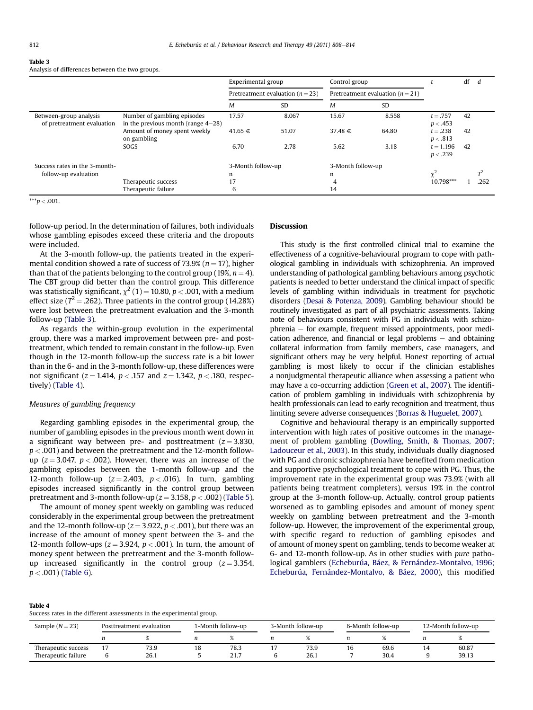#### Table 3

Analysis of differences between the two groups.

|                                                      |                                                                      | Experimental group |                                      | Control group<br>Pretreatment evaluation ( $n = 21$ ) |           |                         | df |                |
|------------------------------------------------------|----------------------------------------------------------------------|--------------------|--------------------------------------|-------------------------------------------------------|-----------|-------------------------|----|----------------|
|                                                      |                                                                      |                    | Pretreatment evaluation ( $n = 23$ ) |                                                       |           |                         |    |                |
|                                                      |                                                                      | M                  | <b>SD</b>                            | M                                                     | <b>SD</b> |                         |    |                |
| Between-group analysis<br>of pretreatment evaluation | Number of gambling episodes<br>in the previous month (range $4-28$ ) | 17.57              | 8.067                                | 15.67                                                 | 8.558     | $t = .757$<br>p < .453  | 42 |                |
|                                                      | Amount of money spent weekly<br>on gambling                          | $41.65 \in$        | 51.07                                | $37.48 \in$                                           | 64.80     | $t = .238$<br>p < .813  | 42 |                |
|                                                      | SOGS                                                                 | 6.70               | 2.78                                 | 5.62                                                  | 3.18      | $t = 1.196$<br>p < .239 | 42 |                |
| Success rates in the 3-month-                        |                                                                      | 3-Month follow-up  |                                      | 3-Month follow-up                                     |           |                         |    |                |
| follow-up evaluation                                 |                                                                      | n                  |                                      | n                                                     |           |                         |    | T <sup>2</sup> |
|                                                      | Therapeutic success                                                  | 17                 |                                      | 4                                                     |           | $10.798***$             |    | 262            |
|                                                      | Therapeutic failure                                                  | 6                  |                                      | 14                                                    |           |                         |    |                |

 $***p < .001$ .

follow-up period. In the determination of failures, both individuals whose gambling episodes exceed these criteria and the dropouts were included.

At the 3-month follow-up, the patients treated in the experimental condition showed a rate of success of 73.9% ( $n = 17$ ), higher than that of the patients belonging to the control group (19%,  $n = 4$ ). The CBT group did better than the control group. This difference was statistically significant,  $\chi^2$  (1) = 10.80, p < .001, with a medium effect size ( $T^2 = .262$ ). Three patients in the control group (14.28%) were lost between the pretreatment evaluation and the 3-month follow-up (Table 3).

As regards the within-group evolution in the experimental group, there was a marked improvement between pre- and posttreatment, which tended to remain constant in the follow-up. Even though in the 12-month follow-up the success rate is a bit lower than in the 6- and in the 3-month follow-up, these differences were not significant ( $z = 1.414$ ,  $p < .157$  and  $z = 1.342$ ,  $p < .180$ , respectively) (Table 4).

#### Measures of gambling frequency

Regarding gambling episodes in the experimental group, the number of gambling episodes in the previous month went down in a significant way between pre- and posttreatment  $(z = 3.830,$  $p < .001$ ) and between the pretreatment and the 12-month followup  $(z = 3.047, p < .002)$ . However, there was an increase of the gambling episodes between the 1-month follow-up and the 12-month follow-up ( $z = 2.403$ ,  $p < .016$ ). In turn, gambling episodes increased significantly in the control group between pretreatment and 3-month follow-up  $(z = 3.158, p < .002)$  ([Table 5\)](#page-5-0).

The amount of money spent weekly on gambling was reduced considerably in the experimental group between the pretreatment and the 12-month follow-up ( $z = 3.922$ ,  $p < .001$ ), but there was an increase of the amount of money spent between the 3- and the 12-month follow-ups ( $z = 3.924$ ,  $p < .001$ ). In turn, the amount of money spent between the pretreatment and the 3-month followup increased significantly in the control group  $(z = 3.354,$  $p < .001$ ) ([Table 6\)](#page-5-0).

#### Discussion

This study is the first controlled clinical trial to examine the effectiveness of a cognitive-behavioural program to cope with pathological gambling in individuals with schizophrenia. An improved understanding of pathological gambling behaviours among psychotic patients is needed to better understand the clinical impact of specific levels of gambling within individuals in treatment for psychotic disorders [\(Desai & Potenza, 2009\)](#page-6-0). Gambling behaviour should be routinely investigated as part of all psychiatric assessments. Taking note of behaviours consistent with PG in individuals with schizo $phrenia - for example, frequent missed appointments, poor medi$ cation adherence, and financial or legal problems  $-$  and obtaining collateral information from family members, case managers, and significant others may be very helpful. Honest reporting of actual gambling is most likely to occur if the clinician establishes a nonjudgmental therapeutic alliance when assessing a patient who may have a co-occurring addiction [\(Green et al., 2007](#page-6-0)). The identification of problem gambling in individuals with schizophrenia by health professionals can lead to early recognition and treatment, thus limiting severe adverse consequences [\(Borras & Huguelet, 2007\)](#page-6-0).

Cognitive and behavioural therapy is an empirically supported intervention with high rates of positive outcomes in the management of problem gambling [\(Dowling, Smith, & Thomas, 2007;](#page-6-0) [Ladouceur et al., 2003](#page-6-0)). In this study, individuals dually diagnosed with PG and chronic schizophrenia have benefited from medication and supportive psychological treatment to cope with PG. Thus, the improvement rate in the experimental group was 73.9% (with all patients being treatment completers), versus 19% in the control group at the 3-month follow-up. Actually, control group patients worsened as to gambling episodes and amount of money spent weekly on gambling between pretreatment and the 3-month follow-up. However, the improvement of the experimental group, with specific regard to reduction of gambling episodes and of amount of money spent on gambling, tends to become weaker at 6- and 12-month follow-up. As in other studies with pure pathological gamblers ([Echeburúa, Báez, & Fernández-Montalvo, 1996;](#page-6-0) [Echeburúa, Fernández-Montalvo, & Báez, 2000\)](#page-6-0), this modified

| Table 4                                                               |
|-----------------------------------------------------------------------|
| Success rates in the different assessments in the experimental group. |

| Sample $(N = 23)$   | Posttreatment evaluation |      | 1-Month follow-up |      | 3-Month follow-up |      | 6-Month follow-up |      | 12-Month follow-up |
|---------------------|--------------------------|------|-------------------|------|-------------------|------|-------------------|------|--------------------|
|                     |                          |      |                   |      |                   |      |                   |      |                    |
| Therapeutic success |                          | 73.9 | ıο                | 78.3 |                   | 73.9 | 16                | 69.6 | 60.87              |
| Therapeutic failure |                          | 26.1 |                   | 21.7 |                   | 26.1 |                   | 30.4 | 39.13              |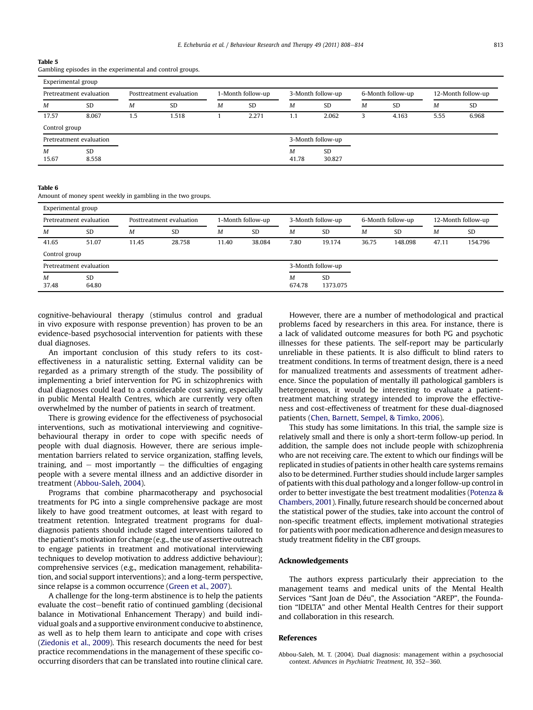#### <span id="page-5-0"></span>Table 5

Gambling episodes in the experimental and control groups.

|               | Pretreatment evaluation |     | Posttreatment evaluation |   | 1-Month follow-up |       | 3-Month follow-up |   | 6-Month follow-up |      | 12-Month follow-up |
|---------------|-------------------------|-----|--------------------------|---|-------------------|-------|-------------------|---|-------------------|------|--------------------|
| M             | <b>SD</b>               | M   | <b>SD</b>                | M | <b>SD</b>         | M     | <b>SD</b>         | M | <b>SD</b>         | M    | <b>SD</b>          |
| 17.57         | 8.067                   | 1.5 | 1.518                    |   | 2.271             | 1.1   | 2.062             | 3 | 4.163             | 5.55 | 6.968              |
| Control group |                         |     |                          |   |                   |       |                   |   |                   |      |                    |
|               | Pretreatment evaluation |     |                          |   |                   |       | 3-Month follow-up |   |                   |      |                    |
| M             | SD                      |     |                          |   |                   | M     | <b>SD</b>         |   |                   |      |                    |
| 15.67         | 8.558                   |     |                          |   |                   | 41.78 | 30.827            |   |                   |      |                    |

#### Table 6

Amount of money spent weekly in gambling in the two groups.

| Experimental group      |                         |                          |           |                   |           |                   |                       |                   |           |                    |           |
|-------------------------|-------------------------|--------------------------|-----------|-------------------|-----------|-------------------|-----------------------|-------------------|-----------|--------------------|-----------|
| Pretreatment evaluation |                         | Posttreatment evaluation |           | 1-Month follow-up |           | 3-Month follow-up |                       | 6-Month follow-up |           | 12-Month follow-up |           |
| M                       | <b>SD</b>               | м                        | <b>SD</b> | M                 | <b>SD</b> | M                 | <b>SD</b>             | M                 | <b>SD</b> | M                  | <b>SD</b> |
| 41.65                   | 51.07                   | 11.45                    | 28.758    | 11.40             | 38.084    | 7.80              | 19.174                | 36.75             | 148.098   | 47.11              | 154.796   |
| Control group           |                         |                          |           |                   |           |                   |                       |                   |           |                    |           |
|                         | Pretreatment evaluation |                          |           |                   |           |                   | 3-Month follow-up     |                   |           |                    |           |
| M<br>37.48              | <b>SD</b><br>64.80      |                          |           |                   |           | М<br>674.78       | <b>SD</b><br>1373.075 |                   |           |                    |           |

cognitive-behavioural therapy (stimulus control and gradual in vivo exposure with response prevention) has proven to be an evidence-based psychosocial intervention for patients with these dual diagnoses.

An important conclusion of this study refers to its costeffectiveness in a naturalistic setting. External validity can be regarded as a primary strength of the study. The possibility of implementing a brief intervention for PG in schizophrenics with dual diagnoses could lead to a considerable cost saving, especially in public Mental Health Centres, which are currently very often overwhelmed by the number of patients in search of treatment.

There is growing evidence for the effectiveness of psychosocial interventions, such as motivational interviewing and cognitivebehavioural therapy in order to cope with specific needs of people with dual diagnosis. However, there are serious implementation barriers related to service organization, staffing levels, training, and  $-$  most importantly  $-$  the difficulties of engaging people with a severe mental illness and an addictive disorder in treatment (Abbou-Saleh, 2004).

Programs that combine pharmacotherapy and psychosocial treatments for PG into a single comprehensive package are most likely to have good treatment outcomes, at least with regard to treatment retention. Integrated treatment programs for dualdiagnosis patients should include staged interventions tailored to the patient's motivation for change (e.g., the use of assertive outreach to engage patients in treatment and motivational interviewing techniques to develop motivation to address addictive behaviour); comprehensive services (e.g., medication management, rehabilitation, and social support interventions); and a long-term perspective, since relapse is a common occurrence ([Green et al., 2007](#page-6-0)).

A challenge for the long-term abstinence is to help the patients evaluate the cost-benefit ratio of continued gambling (decisional balance in Motivational Enhancement Therapy) and build individual goals and a supportive environment conducive to abstinence, as well as to help them learn to anticipate and cope with crises ([Ziedonis et al., 2009\)](#page-6-0). This research documents the need for best practice recommendations in the management of these specific cooccurring disorders that can be translated into routine clinical care.

However, there are a number of methodological and practical problems faced by researchers in this area. For instance, there is a lack of validated outcome measures for both PG and psychotic illnesses for these patients. The self-report may be particularly unreliable in these patients. It is also difficult to blind raters to treatment conditions. In terms of treatment design, there is a need for manualized treatments and assessments of treatment adherence. Since the population of mentally ill pathological gamblers is heterogeneous, it would be interesting to evaluate a patienttreatment matching strategy intended to improve the effectiveness and cost-effectiveness of treatment for these dual-diagnosed patients ([Chen, Barnett, Sempel, & Timko, 2006](#page-6-0)).

This study has some limitations. In this trial, the sample size is relatively small and there is only a short-term follow-up period. In addition, the sample does not include people with schizophrenia who are not receiving care. The extent to which our findings will be replicated in studies of patients in other health care systems remains also to be determined. Further studies should include larger samples of patients with this dual pathology and a longer follow-up control in order to better investigate the best treatment modalities [\(Potenza &](#page-6-0) [Chambers, 2001](#page-6-0)). Finally, future research should be concerned about the statistical power of the studies, take into account the control of non-specific treatment effects, implement motivational strategies for patients with poor medication adherence and design measures to study treatment fidelity in the CBT groups.

#### Acknowledgements

The authors express particularly their appreciation to the management teams and medical units of the Mental Health Services "Sant Joan de Déu", the Association "AREP", the Foundation "IDELTA" and other Mental Health Centres for their support and collaboration in this research.

#### References

Abbou-Saleh, M. T. (2004). Dual diagnosis: management within a psychosocial context. Advances in Psychiatric Treatment, 10, 352-360.